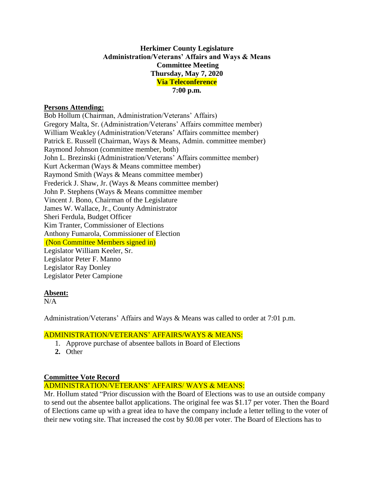### **Herkimer County Legislature Administration/Veterans' Affairs and Ways & Means Committee Meeting Thursday, May 7, 2020 Via Teleconference 7:00 p.m.**

#### **Persons Attending:**

Bob Hollum (Chairman, Administration/Veterans' Affairs) Gregory Malta, Sr. (Administration/Veterans' Affairs committee member) William Weakley (Administration/Veterans' Affairs committee member) Patrick E. Russell (Chairman, Ways & Means, Admin. committee member) Raymond Johnson (committee member, both) John L. Brezinski (Administration/Veterans' Affairs committee member) Kurt Ackerman (Ways & Means committee member) Raymond Smith (Ways & Means committee member) Frederick J. Shaw, Jr. (Ways & Means committee member) John P. Stephens (Ways & Means committee member Vincent J. Bono, Chairman of the Legislature James W. Wallace, Jr., County Administrator Sheri Ferdula, Budget Officer Kim Tranter, Commissioner of Elections Anthony Fumarola, Commissioner of Election (Non Committee Members signed in) Legislator William Keeler, Sr. Legislator Peter F. Manno Legislator Ray Donley Legislator Peter Campione

## **Absent:**

 $N/A$ 

Administration/Veterans' Affairs and Ways & Means was called to order at 7:01 p.m.

### ADMINISTRATION/VETERANS' AFFAIRS/WAYS & MEANS:

- 1. Approve purchase of absentee ballots in Board of Elections
- **2.** Other

### **Committee Vote Record**

# ADMINISTRATION/VETERANS' AFFAIRS/ WAYS & MEANS:

Mr. Hollum stated "Prior discussion with the Board of Elections was to use an outside company to send out the absentee ballot applications. The original fee was \$1.17 per voter. Then the Board of Elections came up with a great idea to have the company include a letter telling to the voter of their new voting site. That increased the cost by \$0.08 per voter. The Board of Elections has to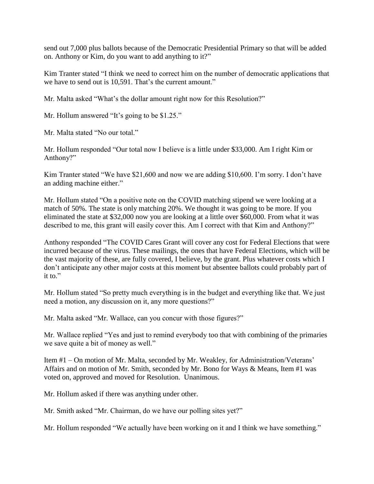send out 7,000 plus ballots because of the Democratic Presidential Primary so that will be added on. Anthony or Kim, do you want to add anything to it?"

Kim Tranter stated "I think we need to correct him on the number of democratic applications that we have to send out is 10,591. That's the current amount."

Mr. Malta asked "What's the dollar amount right now for this Resolution?"

Mr. Hollum answered "It's going to be \$1.25."

Mr. Malta stated "No our total."

Mr. Hollum responded "Our total now I believe is a little under \$33,000. Am I right Kim or Anthony?"

Kim Tranter stated "We have \$21,600 and now we are adding \$10,600. I'm sorry. I don't have an adding machine either."

Mr. Hollum stated "On a positive note on the COVID matching stipend we were looking at a match of 50%. The state is only matching 20%. We thought it was going to be more. If you eliminated the state at \$32,000 now you are looking at a little over \$60,000. From what it was described to me, this grant will easily cover this. Am I correct with that Kim and Anthony?"

Anthony responded "The COVID Cares Grant will cover any cost for Federal Elections that were incurred because of the virus. These mailings, the ones that have Federal Elections, which will be the vast majority of these, are fully covered, I believe, by the grant. Plus whatever costs which I don't anticipate any other major costs at this moment but absentee ballots could probably part of it to."

Mr. Hollum stated "So pretty much everything is in the budget and everything like that. We just need a motion, any discussion on it, any more questions?"

Mr. Malta asked "Mr. Wallace, can you concur with those figures?"

Mr. Wallace replied "Yes and just to remind everybody too that with combining of the primaries we save quite a bit of money as well."

Item #1 – On motion of Mr. Malta, seconded by Mr. Weakley, for Administration/Veterans' Affairs and on motion of Mr. Smith, seconded by Mr. Bono for Ways & Means, Item #1 was voted on, approved and moved for Resolution. Unanimous.

Mr. Hollum asked if there was anything under other.

Mr. Smith asked "Mr. Chairman, do we have our polling sites yet?"

Mr. Hollum responded "We actually have been working on it and I think we have something."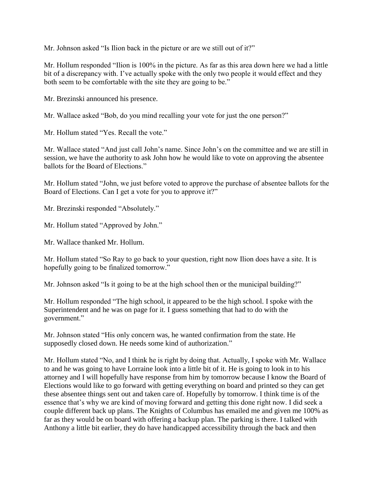Mr. Johnson asked "Is Ilion back in the picture or are we still out of it?"

Mr. Hollum responded "Ilion is 100% in the picture. As far as this area down here we had a little bit of a discrepancy with. I've actually spoke with the only two people it would effect and they both seem to be comfortable with the site they are going to be."

Mr. Brezinski announced his presence.

Mr. Wallace asked "Bob, do you mind recalling your vote for just the one person?"

Mr. Hollum stated "Yes. Recall the vote."

Mr. Wallace stated "And just call John's name. Since John's on the committee and we are still in session, we have the authority to ask John how he would like to vote on approving the absentee ballots for the Board of Elections."

Mr. Hollum stated "John, we just before voted to approve the purchase of absentee ballots for the Board of Elections. Can I get a vote for you to approve it?"

Mr. Brezinski responded "Absolutely."

Mr. Hollum stated "Approved by John."

Mr. Wallace thanked Mr. Hollum.

Mr. Hollum stated "So Ray to go back to your question, right now Ilion does have a site. It is hopefully going to be finalized tomorrow."

Mr. Johnson asked "Is it going to be at the high school then or the municipal building?"

Mr. Hollum responded "The high school, it appeared to be the high school. I spoke with the Superintendent and he was on page for it. I guess something that had to do with the government."

Mr. Johnson stated "His only concern was, he wanted confirmation from the state. He supposedly closed down. He needs some kind of authorization."

Mr. Hollum stated "No, and I think he is right by doing that. Actually, I spoke with Mr. Wallace to and he was going to have Lorraine look into a little bit of it. He is going to look in to his attorney and I will hopefully have response from him by tomorrow because I know the Board of Elections would like to go forward with getting everything on board and printed so they can get these absentee things sent out and taken care of. Hopefully by tomorrow. I think time is of the essence that's why we are kind of moving forward and getting this done right now. I did seek a couple different back up plans. The Knights of Columbus has emailed me and given me 100% as far as they would be on board with offering a backup plan. The parking is there. I talked with Anthony a little bit earlier, they do have handicapped accessibility through the back and then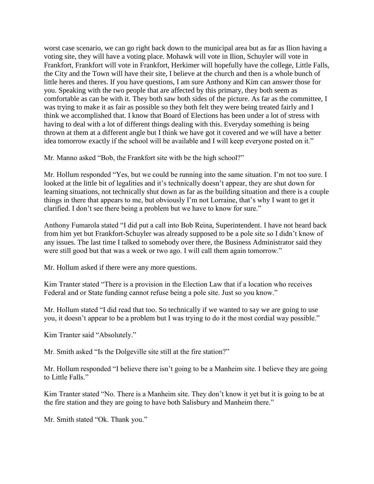worst case scenario, we can go right back down to the municipal area but as far as Ilion having a voting site, they will have a voting place. Mohawk will vote in Ilion, Schuyler will vote in Frankfort, Frankfort will vote in Frankfort, Herkimer will hopefully have the college, Little Falls, the City and the Town will have their site, I believe at the church and then is a whole bunch of little heres and theres. If you have questions, I am sure Anthony and Kim can answer those for you. Speaking with the two people that are affected by this primary, they both seem as comfortable as can be with it. They both saw both sides of the picture. As far as the committee, I was trying to make it as fair as possible so they both felt they were being treated fairly and I think we accomplished that. I know that Board of Elections has been under a lot of stress with having to deal with a lot of different things dealing with this. Everyday something is being thrown at them at a different angle but I think we have got it covered and we will have a better idea tomorrow exactly if the school will be available and I will keep everyone posted on it."

Mr. Manno asked "Bob, the Frankfort site with be the high school?"

Mr. Hollum responded "Yes, but we could be running into the same situation. I'm not too sure. I looked at the little bit of legalities and it's technically doesn't appear, they are shut down for learning situations, not technically shut down as far as the building situation and there is a couple things in there that appears to me, but obviously I'm not Lorraine, that's why I want to get it clarified. I don't see there being a problem but we have to know for sure."

Anthony Fumarola stated "I did put a call into Bob Reina, Superintendent. I have not heard back from him yet but Frankfort-Schuyler was already supposed to be a pole site so I didn't know of any issues. The last time I talked to somebody over there, the Business Administrator said they were still good but that was a week or two ago. I will call them again tomorrow."

Mr. Hollum asked if there were any more questions.

Kim Tranter stated "There is a provision in the Election Law that if a location who receives Federal and or State funding cannot refuse being a pole site. Just so you know."

Mr. Hollum stated "I did read that too. So technically if we wanted to say we are going to use you, it doesn't appear to be a problem but I was trying to do it the most cordial way possible."

Kim Tranter said "Absolutely."

Mr. Smith asked "Is the Dolgeville site still at the fire station?"

Mr. Hollum responded "I believe there isn't going to be a Manheim site. I believe they are going to Little Falls."

Kim Tranter stated "No. There is a Manheim site. They don't know it yet but it is going to be at the fire station and they are going to have both Salisbury and Manheim there."

Mr. Smith stated "Ok. Thank you."